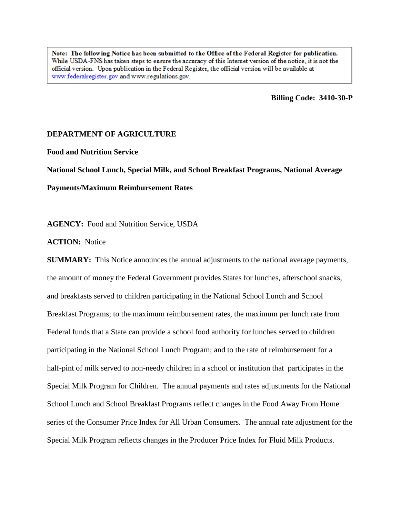Note: The following Notice has been submitted to the Office of the Federal Register for publication. While USDA-FNS has taken steps to ensure the accuracy of this Internet version of the notice, it is not the official version. Upon publication in the Federal Register, the official version will be available at www.federalregister.gov and www.regulations.gov.

**Billing Code: 3410-30-P** 

# **DEPARTMENT OF AGRICULTURE**

**Food and Nutrition Service**

**National School Lunch, Special Milk, and School Breakfast Programs, National Average**

**Payments/Maximum Reimbursement Rates**

**AGENCY:** Food and Nutrition Service, USDA

**ACTION:** Notice

**SUMMARY:** This Notice announces the annual adjustments to the national average payments, the amount of money the Federal Government provides States for lunches, afterschool snacks, and breakfasts served to children participating in the National School Lunch and School Breakfast Programs; to the maximum reimbursement rates, the maximum per lunch rate from Federal funds that a State can provide a school food authority for lunches served to children participating in the National School Lunch Program; and to the rate of reimbursement for a half-pint of milk served to non-needy children in a school or institution that participates in the Special Milk Program for Children. The annual payments and rates adjustments for the National School Lunch and School Breakfast Programs reflect changes in the Food Away From Home series of the Consumer Price Index for All Urban Consumers. The annual rate adjustment for the Special Milk Program reflects changes in the Producer Price Index for Fluid Milk Products.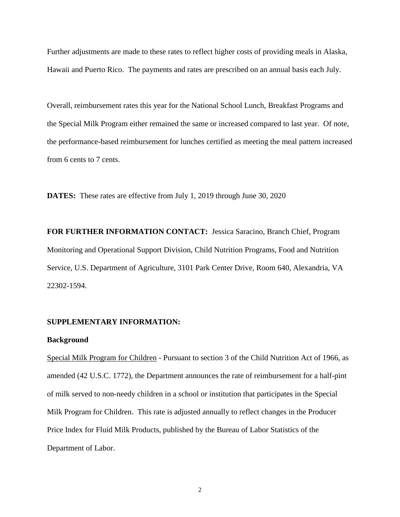Further adjustments are made to these rates to reflect higher costs of providing meals in Alaska, Hawaii and Puerto Rico. The payments and rates are prescribed on an annual basis each July.

Overall, reimbursement rates this year for the National School Lunch, Breakfast Programs and the Special Milk Program either remained the same or increased compared to last year. Of note, the performance-based reimbursement for lunches certified as meeting the meal pattern increased from 6 cents to 7 cents.

**DATES:** These rates are effective from July 1, 2019 through June 30, 2020

**FOR FURTHER INFORMATION CONTACT:** Jessica Saracino, Branch Chief, Program Monitoring and Operational Support Division, Child Nutrition Programs, Food and Nutrition Service, U.S. Department of Agriculture, 3101 Park Center Drive, Room 640, Alexandria, VA 22302-1594.

### **SUPPLEMENTARY INFORMATION:**

### **Background**

Special Milk Program for Children - Pursuant to section 3 of the Child Nutrition Act of 1966, as amended (42 U.S.C. 1772), the Department announces the rate of reimbursement for a half-pint of milk served to non-needy children in a school or institution that participates in the Special Milk Program for Children. This rate is adjusted annually to reflect changes in the Producer Price Index for Fluid Milk Products, published by the Bureau of Labor Statistics of the Department of Labor.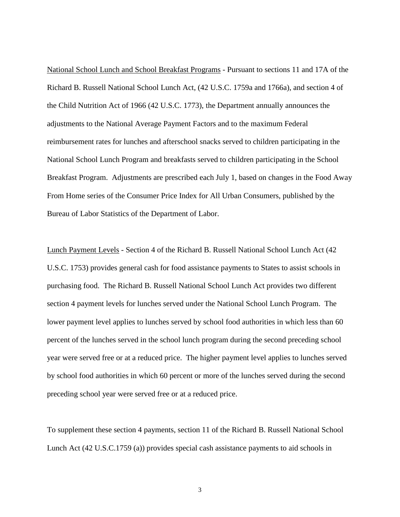National School Lunch and School Breakfast Programs - Pursuant to sections 11 and 17A of the Richard B. Russell National School Lunch Act, (42 U.S.C. 1759a and 1766a), and section 4 of the Child Nutrition Act of 1966 (42 U.S.C. 1773), the Department annually announces the adjustments to the National Average Payment Factors and to the maximum Federal reimbursement rates for lunches and afterschool snacks served to children participating in the National School Lunch Program and breakfasts served to children participating in the School Breakfast Program. Adjustments are prescribed each July 1, based on changes in the Food Away From Home series of the Consumer Price Index for All Urban Consumers, published by the Bureau of Labor Statistics of the Department of Labor.

Lunch Payment Levels - Section 4 of the Richard B. Russell National School Lunch Act (42 U.S.C. 1753) provides general cash for food assistance payments to States to assist schools in purchasing food. The Richard B. Russell National School Lunch Act provides two different section 4 payment levels for lunches served under the National School Lunch Program. The lower payment level applies to lunches served by school food authorities in which less than 60 percent of the lunches served in the school lunch program during the second preceding school year were served free or at a reduced price. The higher payment level applies to lunches served by school food authorities in which 60 percent or more of the lunches served during the second preceding school year were served free or at a reduced price.

To supplement these section 4 payments, section 11 of the Richard B. Russell National School Lunch Act (42 U.S.C.1759 (a)) provides special cash assistance payments to aid schools in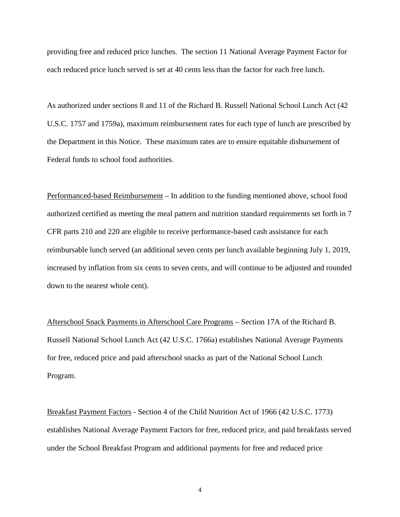providing free and reduced price lunches. The section 11 National Average Payment Factor for each reduced price lunch served is set at 40 cents less than the factor for each free lunch.

As authorized under sections 8 and 11 of the Richard B. Russell National School Lunch Act (42 U.S.C. 1757 and 1759a), maximum reimbursement rates for each type of lunch are prescribed by the Department in this Notice. These maximum rates are to ensure equitable disbursement of Federal funds to school food authorities.

Performanced-based Reimbursement – In addition to the funding mentioned above, school food authorized certified as meeting the meal pattern and nutrition standard requirements set forth in 7 CFR parts 210 and 220 are eligible to receive performance-based cash assistance for each reimbursable lunch served (an additional seven cents per lunch available beginning July 1, 2019, increased by inflation from six cents to seven cents, and will continue to be adjusted and rounded down to the nearest whole cent).

Afterschool Snack Payments in Afterschool Care Programs – Section 17A of the Richard B. Russell National School Lunch Act (42 U.S.C. 1766a) establishes National Average Payments for free, reduced price and paid afterschool snacks as part of the National School Lunch Program.

Breakfast Payment Factors - Section 4 of the Child Nutrition Act of 1966 (42 U.S.C. 1773) establishes National Average Payment Factors for free, reduced price, and paid breakfasts served under the School Breakfast Program and additional payments for free and reduced price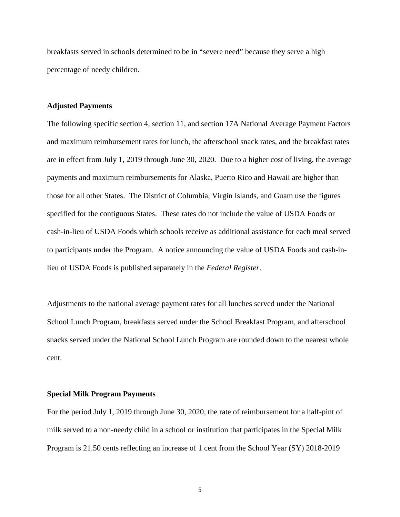breakfasts served in schools determined to be in "severe need" because they serve a high percentage of needy children.

### **Adjusted Payments**

The following specific section 4, section 11, and section 17A National Average Payment Factors and maximum reimbursement rates for lunch, the afterschool snack rates, and the breakfast rates are in effect from July 1, 2019 through June 30, 2020. Due to a higher cost of living, the average payments and maximum reimbursements for Alaska, Puerto Rico and Hawaii are higher than those for all other States. The District of Columbia, Virgin Islands, and Guam use the figures specified for the contiguous States. These rates do not include the value of USDA Foods or cash-in-lieu of USDA Foods which schools receive as additional assistance for each meal served to participants under the Program. A notice announcing the value of USDA Foods and cash-inlieu of USDA Foods is published separately in the *Federal Register*.

Adjustments to the national average payment rates for all lunches served under the National School Lunch Program, breakfasts served under the School Breakfast Program, and afterschool snacks served under the National School Lunch Program are rounded down to the nearest whole cent.

#### **Special Milk Program Payments**

For the period July 1, 2019 through June 30, 2020, the rate of reimbursement for a half-pint of milk served to a non-needy child in a school or institution that participates in the Special Milk Program is 21.50 cents reflecting an increase of 1 cent from the School Year (SY) 2018-2019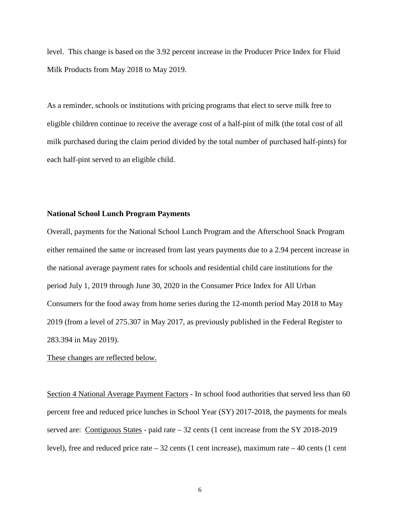level. This change is based on the 3.92 percent increase in the Producer Price Index for Fluid Milk Products from May 2018 to May 2019.

As a reminder, schools or institutions with pricing programs that elect to serve milk free to eligible children continue to receive the average cost of a half-pint of milk (the total cost of all milk purchased during the claim period divided by the total number of purchased half-pints) for each half-pint served to an eligible child.

### **National School Lunch Program Payments**

Overall, payments for the National School Lunch Program and the Afterschool Snack Program either remained the same or increased from last years payments due to a 2.94 percent increase in the national average payment rates for schools and residential child care institutions for the period July 1, 2019 through June 30, 2020 in the Consumer Price Index for All Urban Consumers for the food away from home series during the 12-month period May 2018 to May 2019 (from a level of 275.307 in May 2017, as previously published in the Federal Register to 283.394 in May 2019).

## These changes are reflected below.

Section 4 National Average Payment Factors - In school food authorities that served less than 60 percent free and reduced price lunches in School Year (SY) 2017-2018, the payments for meals served are: Contiguous States - paid rate – 32 cents (1 cent increase from the SY 2018-2019 level), free and reduced price rate  $-32$  cents (1 cent increase), maximum rate  $-40$  cents (1 cent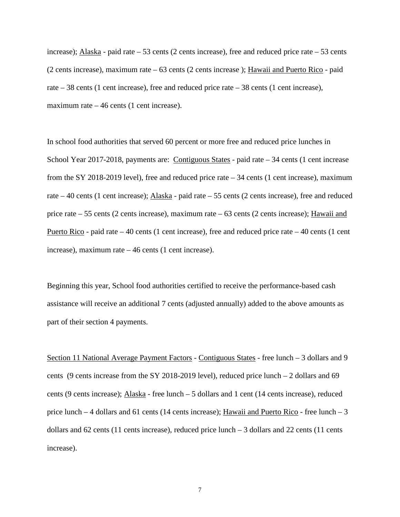increase); Alaska - paid rate – 53 cents (2 cents increase), free and reduced price rate – 53 cents (2 cents increase), maximum rate – 63 cents (2 cents increase ); Hawaii and Puerto Rico - paid rate – 38 cents (1 cent increase), free and reduced price rate – 38 cents (1 cent increase), maximum rate  $-46$  cents (1 cent increase).

In school food authorities that served 60 percent or more free and reduced price lunches in School Year 2017-2018, payments are: Contiguous States - paid rate – 34 cents (1 cent increase from the SY 2018-2019 level), free and reduced price rate – 34 cents (1 cent increase), maximum rate – 40 cents (1 cent increase); Alaska - paid rate – 55 cents (2 cents increase), free and reduced price rate – 55 cents (2 cents increase), maximum rate – 63 cents (2 cents increase); Hawaii and Puerto Rico - paid rate – 40 cents (1 cent increase), free and reduced price rate – 40 cents (1 cent increase), maximum rate – 46 cents (1 cent increase).

Beginning this year, School food authorities certified to receive the performance-based cash assistance will receive an additional 7 cents (adjusted annually) added to the above amounts as part of their section 4 payments.

Section 11 National Average Payment Factors - Contiguous States - free lunch – 3 dollars and 9 cents (9 cents increase from the SY 2018-2019 level), reduced price lunch – 2 dollars and 69 cents (9 cents increase); Alaska - free lunch – 5 dollars and 1 cent (14 cents increase), reduced price lunch  $-4$  dollars and 61 cents (14 cents increase); Hawaii and Puerto Rico - free lunch  $-3$ dollars and 62 cents (11 cents increase), reduced price lunch – 3 dollars and 22 cents (11 cents increase).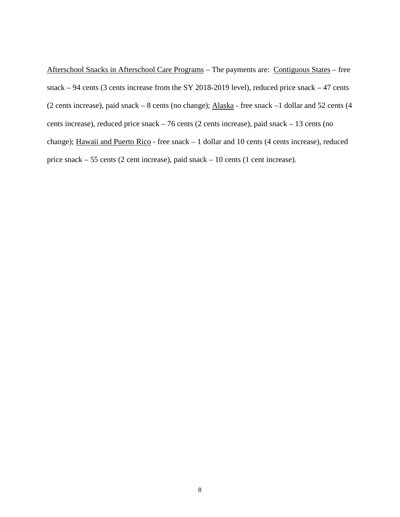Afterschool Snacks in Afterschool Care Programs – The payments are: Contiguous States – free snack – 94 cents (3 cents increase from the SY 2018-2019 level), reduced price snack – 47 cents (2 cents increase), paid snack – 8 cents (no change); Alaska - free snack –1 dollar and 52 cents (4 cents increase), reduced price snack – 76 cents (2 cents increase), paid snack – 13 cents (no change); Hawaii and Puerto Rico - free snack – 1 dollar and 10 cents (4 cents increase), reduced price snack – 55 cents (2 cent increase), paid snack – 10 cents (1 cent increase).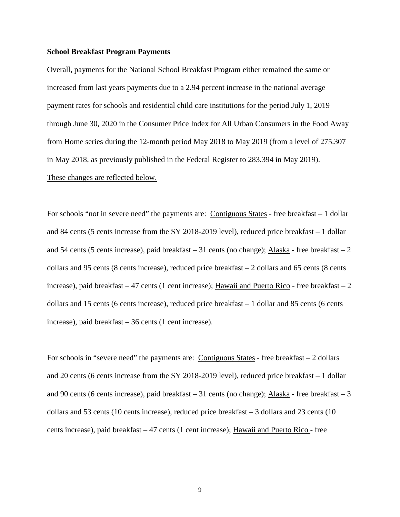### **School Breakfast Program Payments**

Overall, payments for the National School Breakfast Program either remained the same or increased from last years payments due to a 2.94 percent increase in the national average payment rates for schools and residential child care institutions for the period July 1, 2019 through June 30, 2020 in the Consumer Price Index for All Urban Consumers in the Food Away from Home series during the 12-month period May 2018 to May 2019 (from a level of 275.307 in May 2018, as previously published in the Federal Register to 283.394 in May 2019). These changes are reflected below.

For schools "not in severe need" the payments are: Contiguous States - free breakfast – 1 dollar and 84 cents (5 cents increase from the SY 2018-2019 level), reduced price breakfast – 1 dollar and 54 cents (5 cents increase), paid breakfast – 31 cents (no change); Alaska - free breakfast – 2 dollars and 95 cents (8 cents increase), reduced price breakfast – 2 dollars and 65 cents (8 cents increase), paid breakfast  $-47$  cents (1 cent increase); Hawaii and Puerto Rico - free breakfast  $-2$ dollars and 15 cents (6 cents increase), reduced price breakfast – 1 dollar and 85 cents (6 cents increase), paid breakfast – 36 cents (1 cent increase).

For schools in "severe need" the payments are: Contiguous States - free breakfast – 2 dollars and 20 cents (6 cents increase from the SY 2018-2019 level), reduced price breakfast – 1 dollar and 90 cents (6 cents increase), paid breakfast – 31 cents (no change); Alaska - free breakfast – 3 dollars and 53 cents (10 cents increase), reduced price breakfast – 3 dollars and 23 cents (10 cents increase), paid breakfast – 47 cents (1 cent increase); Hawaii and Puerto Rico - free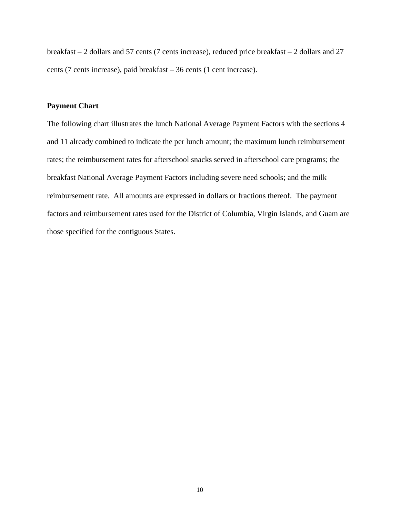breakfast – 2 dollars and 57 cents (7 cents increase), reduced price breakfast – 2 dollars and 27 cents (7 cents increase), paid breakfast – 36 cents (1 cent increase).

### **Payment Chart**

The following chart illustrates the lunch National Average Payment Factors with the sections 4 and 11 already combined to indicate the per lunch amount; the maximum lunch reimbursement rates; the reimbursement rates for afterschool snacks served in afterschool care programs; the breakfast National Average Payment Factors including severe need schools; and the milk reimbursement rate. All amounts are expressed in dollars or fractions thereof. The payment factors and reimbursement rates used for the District of Columbia, Virgin Islands, and Guam are those specified for the contiguous States.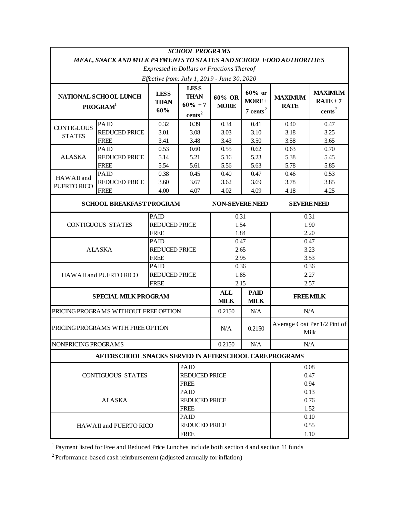| <b>SCHOOL PROGRAMS</b>                                                     |                                                          |                                     |                                  |                        |                                                |                                      |                    |  |
|----------------------------------------------------------------------------|----------------------------------------------------------|-------------------------------------|----------------------------------|------------------------|------------------------------------------------|--------------------------------------|--------------------|--|
| <b>MEAL, SNACK AND MILK PAYMENTS TO STATES AND SCHOOL FOOD AUTHORITIES</b> |                                                          |                                     |                                  |                        |                                                |                                      |                    |  |
| <b>Expressed in Dollars or Fractions Thereof</b>                           |                                                          |                                     |                                  |                        |                                                |                                      |                    |  |
| Effective from: July 1, 2019 - June 30, 2020                               |                                                          |                                     |                                  |                        |                                                |                                      |                    |  |
| NATIONAL SCHOOL LUNCH                                                      |                                                          | <b>LESS</b>                         | <b>LESS</b><br><b>THAN</b>       | 60% OR<br><b>MORE</b>  | $60\%$ or<br>$MORE+$<br>$7$ cents <sup>2</sup> | <b>MAXIMUM</b><br><b>RATE</b>        | <b>MAXIMUM</b>     |  |
| <b>PROGRAM</b>                                                             |                                                          | <b>THAN</b>                         | $60\% + 7$<br>cents <sup>2</sup> |                        |                                                |                                      | $RATE + 7$         |  |
|                                                                            |                                                          | 60%                                 |                                  |                        |                                                |                                      | cents <sup>2</sup> |  |
|                                                                            | PAID                                                     | 0.32                                | 0.39                             | 0.34                   | 0.41                                           | 0.40                                 | 0.47               |  |
| <b>CONTIGUOUS</b><br><b>STATES</b>                                         | <b>REDUCED PRICE</b>                                     | 3.01                                | 3.08                             | 3.03                   | 3.10                                           | 3.18                                 | 3.25               |  |
|                                                                            | <b>FREE</b>                                              | 3.41                                | 3.48                             | 3.43                   | 3.50                                           | 3.58                                 | 3.65               |  |
| <b>ALASKA</b>                                                              | PAID                                                     | 0.53                                | 0.60                             | 0.55                   | 0.62                                           | 0.63                                 | 0.70               |  |
|                                                                            | <b>REDUCED PRICE</b>                                     | 5.14                                | 5.21                             | 5.16                   | 5.23                                           | 5.38                                 | 5.45               |  |
|                                                                            | <b>FREE</b>                                              | 5.54                                | 5.61                             | 5.56                   | 5.63                                           | 5.78                                 | 5.85               |  |
| HAWAII and                                                                 | PAID                                                     | 0.38                                | 0.45                             | 0.40                   | 0.47                                           | 0.46                                 | 0.53               |  |
| PUERTO RICO                                                                | REDUCED PRICE                                            | 3.60                                | 3.67                             | 3.62                   | 3.69                                           | 3.78                                 | 3.85               |  |
|                                                                            | <b>FREE</b>                                              | 4.00                                | 4.07                             | 4.02                   | 4.09                                           | 4.18                                 | 4.25               |  |
| <b>SCHOOL BREAKFAST PROGRAM</b>                                            |                                                          |                                     |                                  | <b>NON-SEVERE NEED</b> |                                                | <b>SEVERE NEED</b>                   |                    |  |
| <b>CONTIGUOUS STATES</b>                                                   |                                                          | PAID                                |                                  | 0.31<br>1.54           |                                                | 0.31<br>1.90                         |                    |  |
|                                                                            |                                                          | <b>REDUCED PRICE</b>                |                                  |                        |                                                |                                      |                    |  |
|                                                                            |                                                          | <b>FREE</b>                         |                                  | 1.84                   |                                                | 2.20                                 |                    |  |
| PAID                                                                       |                                                          |                                     |                                  | 0.47                   |                                                | 0.47                                 |                    |  |
| <b>ALASKA</b>                                                              |                                                          | <b>REDUCED PRICE</b>                |                                  | 2.65                   |                                                | 3.23                                 |                    |  |
|                                                                            |                                                          | <b>FREE</b>                         |                                  | 2.95                   |                                                | 3.53                                 |                    |  |
| HAWAII and PUERTO RICO                                                     |                                                          | PAID                                |                                  |                        | 0.36                                           |                                      | 0.36               |  |
|                                                                            |                                                          | <b>REDUCED PRICE</b><br><b>FREE</b> |                                  | 1.85                   |                                                | 2.27                                 |                    |  |
|                                                                            |                                                          |                                     |                                  | 2.15                   |                                                | 2.57                                 |                    |  |
| <b>SPECIAL MILK PROGRAM</b>                                                |                                                          |                                     |                                  | <b>ALL</b>             | <b>PAID</b>                                    | <b>FREE MILK</b>                     |                    |  |
|                                                                            |                                                          |                                     |                                  | <b>MILK</b>            | <b>MILK</b>                                    |                                      |                    |  |
| PRICING PROGRAMS WITHOUT FREE OPTION                                       |                                                          |                                     |                                  | 0.2150                 | N/A                                            | N/A                                  |                    |  |
| PRICING PROGRAMS WITH FREE OPTION                                          |                                                          |                                     |                                  | N/A                    | 0.2150                                         | Average Cost Per 1/2 Pint of<br>Milk |                    |  |
| NONPRICING PROGRAMS                                                        |                                                          |                                     |                                  | 0.2150                 | N/A                                            | N/A                                  |                    |  |
|                                                                            | AFTERS CHOOL SNACKS SERVED IN AFTERS CHOOL CARE PROGRAMS |                                     |                                  |                        |                                                |                                      |                    |  |
| PAID                                                                       |                                                          |                                     |                                  |                        |                                                | 0.08                                 |                    |  |
| <b>CONTIGUOUS STATES</b>                                                   |                                                          |                                     | <b>REDUCED PRICE</b>             |                        |                                                | 0.47                                 |                    |  |
|                                                                            |                                                          |                                     | <b>FREE</b>                      |                        |                                                |                                      | 0.94               |  |
| PAID                                                                       |                                                          |                                     |                                  |                        |                                                | 0.13                                 |                    |  |
| <b>ALASKA</b>                                                              |                                                          |                                     | <b>REDUCED PRICE</b>             |                        |                                                | 0.76                                 |                    |  |
| <b>FREE</b>                                                                |                                                          |                                     |                                  |                        |                                                | 1.52                                 |                    |  |
| PAID                                                                       |                                                          |                                     |                                  |                        |                                                | 0.10                                 |                    |  |
| HAWAII and PUERTO RICO                                                     |                                                          |                                     | <b>REDUCED PRICE</b>             |                        |                                                | 0.55                                 |                    |  |
| <b>FREE</b>                                                                |                                                          |                                     |                                  |                        |                                                | 1.10                                 |                    |  |

1 Payment listed for Free and Reduced Price Lunches include both section 4 and section 11 funds

2 Performance-based cash reimbursement (adjusted annually for inflation)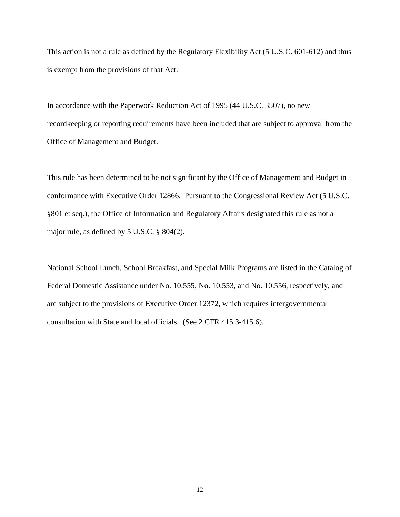This action is not a rule as defined by the Regulatory Flexibility Act (5 U.S.C. 601-612) and thus is exempt from the provisions of that Act.

In accordance with the Paperwork Reduction Act of 1995 (44 U.S.C. 3507), no new recordkeeping or reporting requirements have been included that are subject to approval from the Office of Management and Budget.

This rule has been determined to be not significant by the Office of Management and Budget in conformance with Executive Order 12866. Pursuant to the Congressional Review Act (5 U.S.C. §801 et seq.), the Office of Information and Regulatory Affairs designated this rule as not a major rule, as defined by 5 U.S.C. § 804(2).

National School Lunch, School Breakfast, and Special Milk Programs are listed in the Catalog of Federal Domestic Assistance under No. 10.555, No. 10.553, and No. 10.556, respectively, and are subject to the provisions of Executive Order 12372, which requires intergovernmental consultation with State and local officials. (See 2 CFR 415.3-415.6).